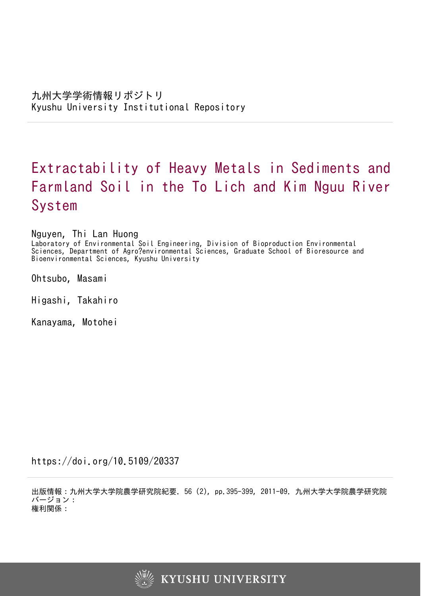# Extractability of Heavy Metals in Sediments and Farmland Soil in the To Lich and Kim Nguu River System

Nguyen, Thi Lan Huong

Laboratory of Environmental Soil Engineering, Division of Bioproduction Environmental Sciences, Department of Agro?environmental Sciences, Graduate School of Bioresource and Bioenvironmental Sciences, Kyushu University

Ohtsubo, Masami

Higashi, Takahiro

Kanayama, Motohei

https://doi.org/10.5109/20337

出版情報:九州大学大学院農学研究院紀要. 56 (2), pp.395-399, 2011-09. 九州大学大学院農学研究院 バージョン: 権利関係:

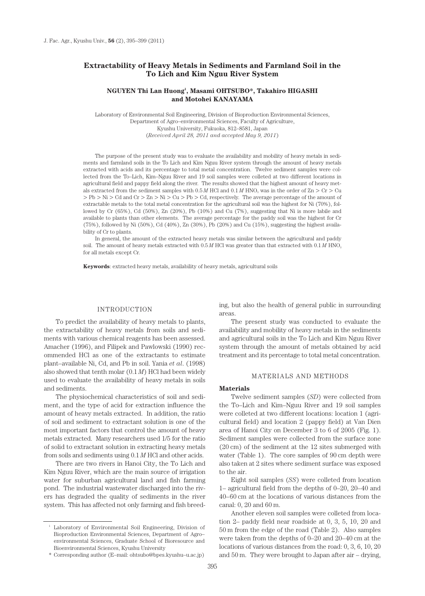## **Extractability of Heavy Metals in Sediments and Farmland Soil in the To Lich and Kim Nguu River System**

## **NGUYEN Thi Lan Huong1 , Masami OHTSUBO\*, Takahiro HIGASHI and Motohei KANAYAMA**

Laboratory of Environmental Soil Engineering, Division of Bioproduction Environmental Sciences, Department of Agro–environmental Sciences, Faculty of Agriculture, Kyushu University, Fukuoka, 812–8581, Japan (*Received April 28, 2011 and accepted May 9, 2011*)

The purpose of the present study was to evaluate the availability and mobility of heavy metals in sediments and farmland soils in the To Lich and Kim Nguu River system through the amount of heavy metals extracted with acids and its percentage to total metal concentration. Twelve sediment samples were collected from the To–Lich, Kim–Nguu River and 19 soil samples were colleted at two different locations in agricultural field and pappy field along the river. The results showed that the highest amount of heavy metals extracted from the sediment samples with  $0.5 M$  HCl and  $0.1 M$  HNO<sub>3</sub> was in the order of Zn > Cr > Cu  $>$  Pb  $>$  Ni  $>$  Cd and Cr  $>$  Zn  $>$  Ni  $>$  Cu  $>$  Pb  $>$  Cd, respectively. The average percentage of the amount of extractable metals to the total metal concentration for the agricultural soil was the highest for Ni (70%), followed by Cr (65%), Cd (50%), Zn (20%), Pb (10%) and Cu (7%), suggesting that Ni is more labile and available to plants than other elements. The average percentage for the paddy soil was the highest for Cr (75%), followed by Ni (50%), Cd (40%), Zn (30%), Pb (20%) and Cu (15%), suggesting the highest availability of Cr to plants.

In general, the amount of the extracted heavy metals was similar between the agricultural and paddy soil. The amount of heavy metals extracted with  $0.5 M$  HCl was greater than that extracted with  $0.1 M$  HNO<sub>3</sub> for all metals except Cr.

**Keywords**: extracted heavy metals, availability of heavy metals, agricultural soils

#### INTRODUCTION

To predict the availability of heavy metals to plants, the extractability of heavy metals from soils and sediments with various chemical reagents has been assessed. Amacher (1996), and Filipek and Pawlowski (1990) recommended HCl as one of the extractants to estimate plant–available Ni, Cd, and Pb in soil. Yania *et al*. (1998) also showed that tenth molar (0.1 *M*) HCl had been widely used to evaluate the availability of heavy metals in soils and sediments.

The physiochemical characteristics of soil and sediment, and the type of acid for extraction influence the amount of heavy metals extracted. In addition, the ratio of soil and sediment to extractant solution is one of the most important factors that control the amount of heavy metals extracted. Many researchers used 1/5 for the ratio of solid to extractant solution in extracting heavy metals from soils and sediments using 0.1 *M* HCl and other acids.

There are two rivers in Hanoi City, the To Lich and Kim Nguu River, which are the main source of irrigation water for suburban agricultural land and fish farming pond. The industrial wastewater discharged into the rivers has degraded the quality of sediments in the river system. This has affected not only farming and fish breeding, but also the health of general public in surrounding areas.

The present study was conducted to evaluate the availability and mobility of heavy metals in the sediments and agricultural soils in the To Lich and Kim Nguu River system through the amount of metals obtained by acid treatment and its percentage to total metal concentration.

#### MATERIALS AND METHODS

#### **Materials**

Twelve sediment samples (*SD*) were collected from the To–Lich and Kim–Nguu River and 19 soil samples were colleted at two different locations: location 1 (agricultural field) and location 2 (pappy field) at Van Dien area of Hanoi City on December 3 to 6 of 2005 (Fig. 1). Sediment samples were collected from the surface zone (20 cm) of the sediment at the 12 sites submerged with water (Table 1). The core samples of 90 cm depth were also taken at 2 sites where sediment surface was exposed to the air.

Eight soil samples (*SS*) were colleted from location 1– agricultural field from the depths of 0–20, 20–40 and 40–60 cm at the locations of various distances from the canal: 0, 20 and 60 m.

Another eleven soil samples were colleted from location 2– paddy field near roadside at 0, 3, 5, 10, 20 and 50 m from the edge of the road (Table 2). Also samples were taken from the depths of 0–20 and 20–40 cm at the locations of various distances from the road: 0, 3, 6, 10, 20 and 50 m. They were brought to Japan after air – drying,

<sup>&</sup>lt;sup>1</sup> Laboratory of Environmental Soil Engineering, Division of Bioproduction Environmental Sciences, Department of Agro– environmental Sciences, Graduate School of Bioresource and Bioenvironmental Sciences, Kyushu University

<sup>\*</sup> Corresponding author (E–mail: ohtsubo@bpes.kyushu–u.ac.jp)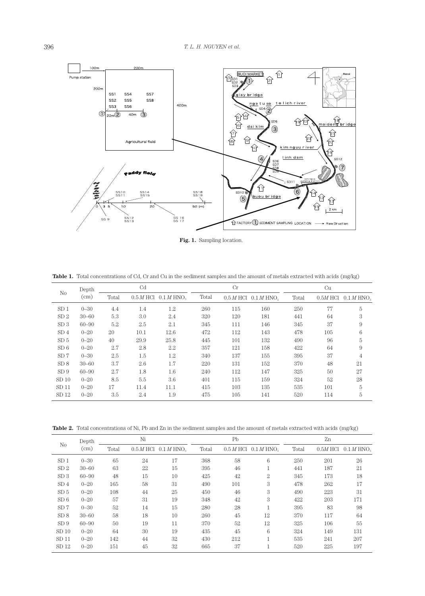

**Fig. 1.** Sampling location.

**Table 1.** Total concentrations of Cd, Cr and Cu in the sediment samples and the amount of metals extracted with acids (mg/kg)

|                  | Depth     | Cd    |      |                                      | Cr    |     |                          | Cu    |     |                                     |
|------------------|-----------|-------|------|--------------------------------------|-------|-----|--------------------------|-------|-----|-------------------------------------|
| No               | (cm)      | Total |      | $0.5 M$ HCl $0.1 M$ HNO <sub>2</sub> | Total |     | $0.5 M$ HCl $0.1 M$ HNO. | Total |     | $0.5M$ HCl $0.1 M$ HNO <sub>2</sub> |
| SD <sub>1</sub>  | $0 - 30$  | 4.4   | 1.4  | 1.2                                  | 260   | 115 | 160                      | 250   | 77  | 5                                   |
| SD <sub>2</sub>  | $30 - 60$ | 5.3   | 3.0  | 2.4                                  | 320   | 120 | 181                      | 441   | 64  | 3                                   |
| SD3              | $60 - 90$ | 5.2   | 2.5  | 2.1                                  | 345   | 111 | 146                      | 345   | 37  | 9                                   |
| SD <sub>4</sub>  | $0 - 20$  | 20    | 10.1 | 12.6                                 | 472   | 112 | 143                      | 478   | 105 | 6                                   |
| SD <sub>5</sub>  | $0 - 20$  | 40    | 29.9 | 25.8                                 | 445   | 101 | 132                      | 490   | 96  | 5                                   |
| SD6              | $0 - 20$  | 2.7   | 2.8  | 2.2                                  | 357   | 121 | 158                      | 422   | 64  | 9                                   |
| SD 7             | $0 - 30$  | 2.5   | 1.5  | 1.2                                  | 340   | 137 | 155                      | 395   | 37  | $\overline{4}$                      |
| SD 8             | $30 - 60$ | 3.7   | 2.6  | 1.7                                  | 220   | 131 | 152                      | 370   | 48  | 21                                  |
| SD9              | $60 - 90$ | 2.7   | 1.8  | 1.6                                  | 240   | 112 | 147                      | 325   | 50  | 27                                  |
| SD <sub>10</sub> | $0 - 20$  | 8.5   | 5.5  | 3.6                                  | 401   | 115 | 159                      | 324   | 52  | 28                                  |
| SD <sub>11</sub> | $0 - 20$  | 17    | 11.4 | 11.1                                 | 415   | 103 | 135                      | 535   | 101 | 5                                   |
| SD <sub>12</sub> | $0 - 20$  | 3.5   | 2.4  | 1.9                                  | 475   | 105 | 141                      | 520   | 114 | 5                                   |

**Table 2.** Total concentrations of Ni, Pb and Zn in the sediment samples and the amount of metals extracted with acids (mg/kg)

|                  | Depth     | Ni    |    |                                                                                                                                                                                                                                                                                                                                                                                                                                                                                                                                                                          |     | Pb | Zn  |     |     |
|------------------|-----------|-------|----|--------------------------------------------------------------------------------------------------------------------------------------------------------------------------------------------------------------------------------------------------------------------------------------------------------------------------------------------------------------------------------------------------------------------------------------------------------------------------------------------------------------------------------------------------------------------------|-----|----|-----|-----|-----|
| N <sub>o</sub>   | (cm)      | Total |    | $0.5 M$ HCl $0.1 M$ HNO <sub>2</sub><br>Total<br>Total<br>$0.5 M$ HCl $0.1 M$ HNO <sub>2</sub><br>$0.5M$ HCl $0.1$ M HNO <sub>2</sub><br>17<br>368<br>58<br>6<br>250<br>201<br>46<br>15<br>395<br>441<br>187<br>42<br>$\overline{2}$<br>10<br>425<br>345<br>173<br>31<br>3<br>478<br>490<br>101<br>262<br>3<br>46<br>25<br>490<br>223<br>450<br>42<br>3<br>19<br>348<br>422<br>203<br>28<br>15<br>83<br>280<br>395<br>45<br>10<br>12<br>370<br>260<br>117<br>52<br>11<br>370<br>12<br>325<br>106<br>6<br>19<br>45<br>435<br>324<br>149<br>32<br>430<br>212<br>535<br>241 |     |    |     |     |     |
| SD <sub>1</sub>  | $0 - 30$  | 65    | 24 |                                                                                                                                                                                                                                                                                                                                                                                                                                                                                                                                                                          |     |    |     |     | 26  |
| SD <sub>2</sub>  | $30 - 60$ | 63    | 22 |                                                                                                                                                                                                                                                                                                                                                                                                                                                                                                                                                                          |     |    |     |     | 21  |
| SD <sub>3</sub>  | $60 - 90$ | 48    | 15 |                                                                                                                                                                                                                                                                                                                                                                                                                                                                                                                                                                          |     |    |     |     | 18  |
| SD <sub>4</sub>  | $0 - 20$  | 165   | 58 |                                                                                                                                                                                                                                                                                                                                                                                                                                                                                                                                                                          |     |    |     |     | 17  |
| SD <sub>5</sub>  | $0 - 20$  | 108   | 44 |                                                                                                                                                                                                                                                                                                                                                                                                                                                                                                                                                                          |     |    |     |     | 31  |
| SD6              | $0 - 20$  | 57    | 31 |                                                                                                                                                                                                                                                                                                                                                                                                                                                                                                                                                                          |     |    |     |     | 171 |
| SD <sub>7</sub>  | $0 - 30$  | 52    | 14 |                                                                                                                                                                                                                                                                                                                                                                                                                                                                                                                                                                          |     |    |     |     | 98  |
| SD 8             | $30 - 60$ | 58    | 18 |                                                                                                                                                                                                                                                                                                                                                                                                                                                                                                                                                                          |     |    |     |     | 64  |
| SD9              | $60 - 90$ | 50    | 19 |                                                                                                                                                                                                                                                                                                                                                                                                                                                                                                                                                                          |     |    |     |     | 55  |
| SD <sub>10</sub> | $0 - 20$  | 64    | 30 |                                                                                                                                                                                                                                                                                                                                                                                                                                                                                                                                                                          |     |    |     |     | 131 |
| SD <sub>11</sub> | $0 - 20$  | 142   | 44 |                                                                                                                                                                                                                                                                                                                                                                                                                                                                                                                                                                          |     |    |     |     | 207 |
| SD <sub>12</sub> | $0 - 20$  | 151   | 45 | 32                                                                                                                                                                                                                                                                                                                                                                                                                                                                                                                                                                       | 665 | 37 | 520 | 225 | 197 |
|                  |           |       |    |                                                                                                                                                                                                                                                                                                                                                                                                                                                                                                                                                                          |     |    |     |     |     |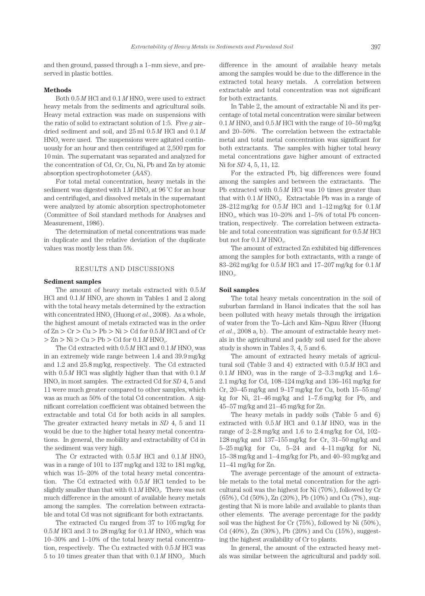and then ground, passed through a 1–mm sieve, and preserved in plastic bottles.

#### **Methods**

Both  $0.5 M$  HCl and  $0.1 M$  HNO<sub>3</sub> were used to extract heavy metals from the sediments and agricultural soils. Heavy metal extraction was made on suspensions with the ratio of solid to extractant solution of 1:5. Five *g* air– dried sediment and soil, and 25 ml 0.5 *M* HCl and 0.1 *M*   $HNO<sub>3</sub>$  were used. The suspensions were agitated continuously for an hour and then centrifuged at 2,500 rpm for 10 min. The supernatant was separated and analyzed for the concentration of Cd, Cr, Cu, Ni, Pb and Zn by atomic absorption spectrophotometer (*AAS*).

For total metal concentration, heavy metals in the sediment was digested with  $1 M HNO<sub>3</sub>$  at  $96 °C$  for an hour and centrifuged, and dissolved metals in the supernatant were analyzed by atomic absorption spectrophotometer (Committee of Soil standard methods for Analyses and Measurement, 1986).

The determination of metal concentrations was made in duplicate and the relative deviation of the duplicate values was mostly less than 5%.

## RESULTS AND DISCUSSIONS

### **Sediment samples**

The amount of heavy metals extracted with 0.5 *M*  HCl and  $0.1 M$  HNO<sub>3</sub> are shown in Tables 1 and 2 along with the total heavy metals determined by the extraction with concentrated HNO<sub>3</sub> (Huong *et al.*, 2008). As a whole, the highest amount of metals extracted was in the order of  $Zn > Cr > Cu > Pb > Ni > Cd$  for  $0.5 M$  HCl and of Cr  $>$  Zn  $>$  Ni  $>$  Cu  $>$  Pb  $>$  Cd for 0.1 M HNO<sub>3</sub>.

The Cd extracted with  $0.5 M$  HCl and  $0.1 M$  HNO<sub>3</sub> was in an extremely wide range between 1.4 and 39.9 mg/kg and 1.2 and 25.8 mg/kg, respectively. The Cd extracted with 0.5 *M* HCl was slightly higher than that with 0.1 *M* HNO<sub>3</sub> in most samples. The extracted Cd for *SD* 4, 5 and 11 were much greater compared to other samples, which was as much as 50% of the total Cd concentration. A significant correlation coefficient was obtained between the extractable and total Cd for both acids in all samples. The greater extracted heavy metals in *SD* 4, 5 and 11 would be due to the higher total heavy metal concentrations. In general, the mobility and extractability of Cd in the sediment was very high.

The Cr extracted with  $0.5 M$  HCl and  $0.1 M$  HNO<sub>3</sub> was in a range of 101 to 137 mg/kg and 132 to 181 mg/kg, which was 15–20% of the total heavy metal concentration. The Cd extracted with 0.5 *M* HCl tended to be slightly smaller than that with  $0.1 M HNO<sub>3</sub>$ . There was not much difference in the amount of available heavy metals among the samples. The correlation between extractable and total Cd was not significant for both extractants.

The extracted Cu ranged from 37 to 105 mg/kg for  $0.5 M$  HCl and 3 to 28 mg/kg for  $0.1 M$  HNO<sub>3</sub>, which was 10–30% and 1–10% of the total heavy metal concentration, respectively. The Cu extracted with 0.5 *M* HCl was 5 to 10 times greater than that with  $0.1 M$  HNO<sub>3</sub>. Much difference in the amount of available heavy metals among the samples would be due to the difference in the extracted total heavy metals. A correlation between extractable and total concentration was not significant for both extractants.

In Table 2, the amount of extractable Ni and its percentage of total metal concentration were similar between  $0.1 M$  HNO<sub>3</sub> and  $0.5 M$  HCl with the range of  $10-50$  mg/kg and 20–50%. The correlation between the extractable metal and total metal concentration was significant for both extractants. The samples with higher total heavy metal concentrations gave higher amount of extracted Ni for *SD* 4, 5, 11, 12.

For the extracted Pb, big differences were found among the samples and between the extractants. The Pb extracted with  $0.5 M$  HCl was 10 times greater than that with  $0.1 M$  HNO<sub>3</sub>. Extractable Pb was in a range of 28–212 mg/kg for 0.5 *M* HCl and 1–12 mg/kg for 0.1 *M*   $HNO<sub>3</sub>$ , which was 10–20% and 1–5% of total Pb concentration, respectively. The correlation between extractable and total concentration was significant for 0.5 *M* HCl but not for  $0.1 M$  HNO<sub>3</sub>.

The amount of extracted Zn exhibited big differences among the samples for both extractants, with a range of 83–262 mg/kg for 0.5 *M* HCl and 17–207 mg/kg for 0.1 *M*   $HNO<sub>3</sub>$ .

#### **Soil samples**

The total heavy metals concentration in the soil of suburban farmland in Hanoi indicates that the soil has been polluted with heavy metals through the irrigation of water from the To–Lich and Kim–Nguu River (Huong *et al*., 2008 a, b). The amount of extractable heavy metals in the agricultural and paddy soil used for the above study is shown in Tables 3, 4, 5 and 6.

The amount of extracted heavy metals of agricultural soil (Table 3 and 4) extracted with 0.5 *M* HCl and  $0.1 M$  HNO<sub>3</sub> was in the range of  $2-3.3$  mg/kg and  $1.6-$ 2.1 mg/kg for Cd, 108–124 mg/kg and 136–161 mg/kg for Cr,  $20-45$  mg/kg and  $9-17$  mg/kg for Cu, both  $15-55$  mg/ kg for Ni, 21–46 mg/kg and 1–7.6 mg/kg for Pb, and 45–57 mg/kg and 21–45 mg/kg for Zn.

The heavy metals in paddy soils (Table 5 and 6) extracted with  $0.5 M$  HCl and  $0.1 M$  HNO<sub>3</sub> was in the range of 2–2.8 mg/kg and 1.6 to 2.4 mg/kg for Cd, 102– 128 mg/kg and 137–155 mg/kg for Cr, 31–50 mg/kg and 5–25 mg/kg for Cu, 5–24 and 4–11 mg/kg for Ni, 15–38 mg/kg and 1–4 mg/kg for Pb, and 40–93 mg/kg and 11–41 mg/kg for Zn.

The average percentage of the amount of extractable metals to the total metal concentration for the agricultural soil was the highest for Ni (70%), followed by Cr (65%), Cd (50%), Zn (20%), Pb (10%) and Cu (7%), suggesting that Ni is more labile and available to plants than other elements. The average percentage for the paddy soil was the highest for Cr (75%), followed by Ni (50%), Cd (40%), Zn (30%), Pb (20%) and Cu (15%), suggesting the highest availability of Cr to plants.

In general, the amount of the extracted heavy metals was similar between the agricultural and paddy soil.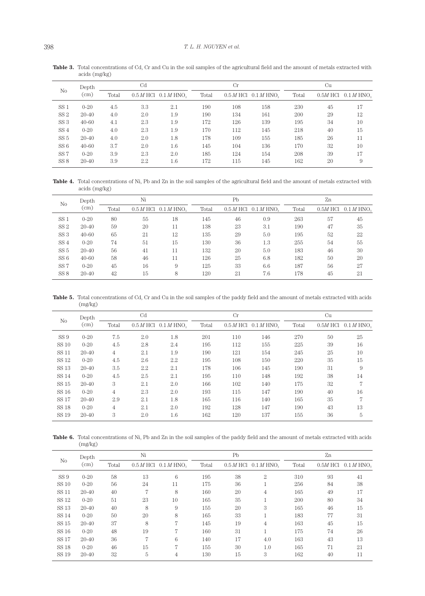|                 | Depth     | C <sub>d</sub> |         |                                      | Cr    |     |                                                                                                                                                                                                                                                      | Cu |  |    |
|-----------------|-----------|----------------|---------|--------------------------------------|-------|-----|------------------------------------------------------------------------------------------------------------------------------------------------------------------------------------------------------------------------------------------------------|----|--|----|
| N <sub>o</sub>  | (cm)      | Total          |         | $0.5 M$ HCl $0.1 M$ HNO <sub>2</sub> | Total |     | $0.5 M$ HCl $0.1 M$ HNO <sub>2</sub><br>$0.5M$ HCl $0.1 M$ HNO <sub>2</sub><br>Total<br>158<br>230<br>45<br>161<br>200<br>29<br>139<br>195<br>34<br>218<br>145<br>40<br>155<br>185<br>26<br>136<br>170<br>32<br>208<br>39<br>154<br>145<br>162<br>20 |    |  |    |
| SS <sub>1</sub> | $0 - 20$  | 4.5            | 3.3     | 2.1                                  | 190   | 108 |                                                                                                                                                                                                                                                      |    |  | 17 |
| SS <sub>2</sub> | $20 - 40$ | 4.0            | 2.0     | 1.9                                  | 190   | 134 |                                                                                                                                                                                                                                                      |    |  | 12 |
| SS <sub>3</sub> | $40 - 60$ | 4.1            | 2.3     | 1.9                                  | 172   | 126 |                                                                                                                                                                                                                                                      |    |  | 10 |
| SS <sub>4</sub> | $0 - 20$  | 4.0            | 2.3     | 1.9                                  | 170   | 112 |                                                                                                                                                                                                                                                      |    |  | 15 |
| SS <sub>5</sub> | $20 - 40$ | 4.0            | 2.0     | 1.8                                  | 178   | 109 |                                                                                                                                                                                                                                                      |    |  | 11 |
| SS 6            | $40 - 60$ | 3.7            | 2.0     | 1.6                                  | 145   | 104 |                                                                                                                                                                                                                                                      |    |  | 10 |
| SS <sub>7</sub> | $0 - 20$  | 3.9            | 2.3     | 2.0                                  | 185   | 124 |                                                                                                                                                                                                                                                      |    |  | 17 |
| SS <sub>8</sub> | $20 - 40$ | 3.9            | $2.2\,$ | 1.6                                  | 172   | 115 |                                                                                                                                                                                                                                                      |    |  | 9  |

**Table 3.** Total concentrations of Cd, Cr and Cu in the soil samples of the agricultural field and the amount of metals extracted with acids (mg/kg)

Table 4. Total concentrations of Ni, Pb and Zn in the soil samples of the agricultural field and the amount of metals extracted with acids (mg/kg)

| N <sub>o</sub><br>SS <sub>1</sub><br>SS <sub>2</sub><br>SS <sub>3</sub><br>SS <sub>4</sub><br>SS <sub>5</sub><br>SS <sub>6</sub><br>SS <sub>7</sub> | Depth     | Ni    |           |              |       | P <sub>b</sub> |                          | Zn    |            |              |
|-----------------------------------------------------------------------------------------------------------------------------------------------------|-----------|-------|-----------|--------------|-------|----------------|--------------------------|-------|------------|--------------|
|                                                                                                                                                     | (cm)      | Total | 0.5 M HCl | $0.1 M$ HNO. | Total | 0.5 M HCl      | $0.1 M$ HNO <sub>2</sub> | Total | $0.5M$ HCl | $0.1 M$ HNO. |
|                                                                                                                                                     | $0 - 20$  | 80    | 55        | 18           | 145   | 46             | 0.9                      | 263   | 57         | 45           |
|                                                                                                                                                     | $20 - 40$ | 59    | 20        | 11           | 138   | 23             | 3.1                      | 190   | 47         | 35           |
|                                                                                                                                                     | $40 - 60$ | 65    | 21        | 12           | 135   | 29             | 5.0                      | 195   | 52         | 22           |
|                                                                                                                                                     | $0 - 20$  | 74    | 51        | 15           | 130   | 36             | 1.3                      | 255   | 54         | 55           |
|                                                                                                                                                     | $20 - 40$ | 56    | 41        | 11           | 132   | 20             | 5.0                      | 183   | 46         | 30           |
|                                                                                                                                                     | $40 - 60$ | 58    | 46        | 11           | 126   | 25             | 6.8                      | 182   | 50         | 20           |
|                                                                                                                                                     | $0 - 20$  | 45    | 16        | 9            | 125   | 33             | 6.6                      | 187   | 56         | 27           |
| SS <sub>8</sub>                                                                                                                                     | $20 - 40$ | 42    | 15        | 8            | 120   | 21             | 7.6                      | 178   | 45         | 21           |

**Table 5.** Total concentrations of Cd, Cr and Cu in the soil samples of the paddy field and the amount of metals extracted with acids (mg/kg)

|                | Depth     | C <sub>d</sub> |         |                                      |       | Cr  |                                      | Cu    |    |                                     |
|----------------|-----------|----------------|---------|--------------------------------------|-------|-----|--------------------------------------|-------|----|-------------------------------------|
| N <sub>o</sub> | (cm)      | Total          |         | $0.5 M$ HCl $0.1 M$ HNO <sub>2</sub> | Total |     | $0.5 M$ HCl $0.1 M$ HNO <sub>2</sub> | Total |    | $0.5M$ HCl $0.1$ M HNO <sub>2</sub> |
| SS 9           | $0 - 20$  | 7.5            | 2.0     | 1.8                                  | 201   | 110 | 146                                  | 270   | 50 | 25                                  |
| SS 10          | $0 - 20$  | 4.5            | 2.8     | 2.4                                  | 195   | 112 | 155                                  | 225   | 39 | 16                                  |
| SS 11          | $20 - 40$ | 4              | 2.1     | 1.9                                  | 190   | 121 | 154                                  | 245   | 25 | 10                                  |
| SS 12          | $0 - 20$  | 4.5            | 2.6     | 2.2                                  | 195   | 108 | 150                                  | 220   | 35 | 15                                  |
| SS 13          | $20 - 40$ | 3.5            | $2.2\,$ | 2.1                                  | 178   | 106 | 145                                  | 190   | 31 | 9                                   |
| SS 14          | $0 - 20$  | 4.5            | 2.5     | 2.1                                  | 195   | 110 | 148                                  | 192   | 38 | 14                                  |
| SS 15          | $20 - 40$ | 3              | 2.1     | 2.0                                  | 166   | 102 | 140                                  | 175   | 32 | 7                                   |
| SS 16          | $0 - 20$  | $\overline{4}$ | 2.3     | 2.0                                  | 193   | 115 | 147                                  | 190   | 40 | 16                                  |
| <b>SS 17</b>   | $20 - 40$ | 2.9            | 2.1     | 1.8                                  | 165   | 116 | 140                                  | 165   | 35 | 7                                   |
| SS 18          | $0 - 20$  | 4              | 2.1     | 2.0                                  | 192   | 128 | 147                                  | 190   | 43 | 13                                  |
| SS 19          | $20 - 40$ | 3              | 2.0     | 1.6                                  | 162   | 120 | 137                                  | 155   | 36 | 5                                   |

Table 6. Total concentrations of Ni, Pb and Zn in the soil samples of the paddy field and the amount of metals extracted with acids (mg/kg)

|                 | Depth     | Ni    |    |                                      |       | Pb |                                      | Zn                                                                                                                                                   |                                     |    |
|-----------------|-----------|-------|----|--------------------------------------|-------|----|--------------------------------------|------------------------------------------------------------------------------------------------------------------------------------------------------|-------------------------------------|----|
| No              | (cm)      | Total |    | $0.5 M$ HCl $0.1 M$ HNO <sub>2</sub> | Total |    | $0.5 M$ HCl $0.1 M$ HNO <sub>2</sub> | Total<br>310<br>93<br>256<br>84<br>165<br>49<br>200<br>80<br>165<br>46<br>183<br>77<br>163<br>45<br>175<br>74<br>163<br>43<br>165<br>71<br>162<br>40 | $0.5M$ HCl $0.1$ M HNO <sub>2</sub> |    |
| SS <sub>9</sub> | $0 - 20$  | 58    | 13 | 6                                    | 195   | 38 | $\overline{2}$                       |                                                                                                                                                      |                                     | 41 |
| SS 10           | $0 - 20$  | 56    | 24 | 11                                   | 175   | 36 |                                      |                                                                                                                                                      |                                     | 38 |
| <b>SS 11</b>    | $20 - 40$ | 40    | 7  | 8                                    | 160   | 20 | 4                                    |                                                                                                                                                      |                                     | 17 |
| SS 12           | $0 - 20$  | 51    | 23 | 10                                   | 165   | 35 |                                      |                                                                                                                                                      |                                     | 34 |
| SS 13           | $20 - 40$ | 40    | 8  | 9                                    | 155   | 20 | 3                                    |                                                                                                                                                      |                                     | 15 |
| <b>SS 14</b>    | $0 - 20$  | 50    | 20 | 8                                    | 165   | 33 |                                      |                                                                                                                                                      |                                     | 31 |
| SS 15           | $20 - 40$ | 37    | 8  | 7                                    | 145   | 19 | 4                                    |                                                                                                                                                      |                                     | 15 |
| SS 16           | $0 - 20$  | 48    | 19 | 7                                    | 160   | 31 |                                      |                                                                                                                                                      |                                     | 26 |
| SS 17           | $20 - 40$ | 36    | 7  | 6                                    | 140   | 17 | 4.0                                  |                                                                                                                                                      |                                     | 13 |
| <b>SS 18</b>    | $0 - 20$  | 46    | 15 | 7                                    | 155   | 30 | 1.0                                  |                                                                                                                                                      |                                     | 21 |
| SS 19           | $20 - 40$ | 32    | 5  | 4                                    | 130   | 15 | 3                                    |                                                                                                                                                      |                                     | 11 |
|                 |           |       |    |                                      |       |    |                                      |                                                                                                                                                      |                                     |    |